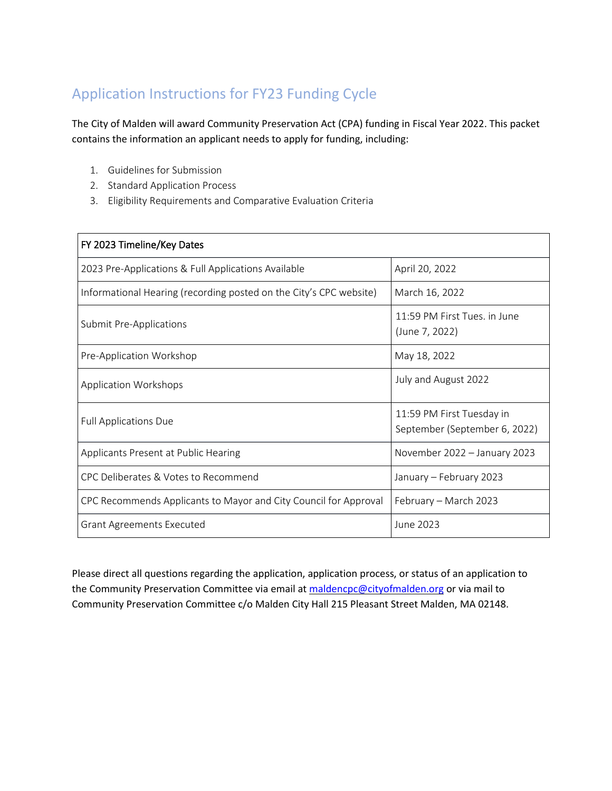# Application Instructions for FY23 Funding Cycle

The City of Malden will award Community Preservation Act (CPA) funding in Fiscal Year 2022. This packet contains the information an applicant needs to apply for funding, including:

- 1. Guidelines for Submission
- 2. Standard Application Process
- 3. Eligibility Requirements and Comparative Evaluation Criteria

| FY 2023 Timeline/Key Dates                                         |                                                            |
|--------------------------------------------------------------------|------------------------------------------------------------|
| 2023 Pre-Applications & Full Applications Available                | April 20, 2022                                             |
| Informational Hearing (recording posted on the City's CPC website) | March 16, 2022                                             |
| Submit Pre-Applications                                            | 11:59 PM First Tues, in June<br>(June 7, 2022)             |
| Pre-Application Workshop                                           | May 18, 2022                                               |
| Application Workshops                                              | July and August 2022                                       |
| <b>Full Applications Due</b>                                       | 11:59 PM First Tuesday in<br>September (September 6, 2022) |
| Applicants Present at Public Hearing                               | November 2022 - January 2023                               |
| CPC Deliberates & Votes to Recommend                               | January - February 2023                                    |
| CPC Recommends Applicants to Mayor and City Council for Approval   | February - March 2023                                      |
| <b>Grant Agreements Executed</b>                                   | June 2023                                                  |

Please direct all questions regarding the application, application process, or status of an application to the Community Preservation Committee via email at maldencpc@cityofmalden.org or via mail to Community Preservation Committee c/o Malden City Hall 215 Pleasant Street Malden, MA 02148.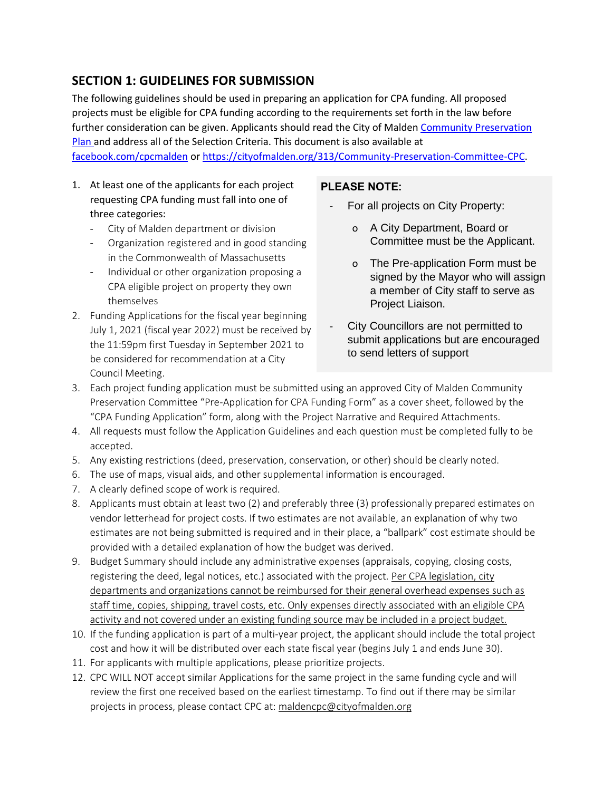# **SECTION 1: GUIDELINES FOR SUBMISSION**

The following guidelines should be used in preparing an application for CPA funding. All proposed projects must be eligible for CPA funding according to the requirements set forth in the law before further consideration can be given. Applicants should read the City of Malden Community [Preservation](https://cityofmalden.org/DocumentCenter/View/2571/MaldenCPC_Plan_FY19_FY20) [Plan](https://cityofmalden.org/DocumentCenter/View/2571/MaldenCPC_Plan_FY19_FY20) and address all of the Selection Criteria. This document is also available at

[facebook.com/cpcmalden](https://www.facebook.com/CPCMalden) or [https://cityofmalden.org/313/Community-Preservation-Committee-CPC.](https://cityofmalden.org/313/Community-Preservation-Committee-CPC)

- 1. At least one of the applicants for each project requesting CPA funding must fall into one of three categories:
	- City of Malden department or division
	- Organization registered and in good standing in the Commonwealth of Massachusetts
	- Individual or other organization proposing a CPA eligible project on property they own themselves
- 2. Funding Applications for the fiscal year beginning July 1, 2021 (fiscal year 2022) must be received by the 11:59pm first Tuesday in September 2021 to be considered for recommendation at a City Council Meeting.

### **PLEASE NOTE:**

- For all projects on City Property:
	- o A City Department, Board or Committee must be the Applicant.
	- o The Pre-application Form must be signed by the Mayor who will assign a member of City staff to serve as Project Liaison.
- City Councillors are not permitted to submit applications but are encouraged to send letters of support
- 3. Each project funding application must be submitted using an approved City of Malden Community Preservation Committee "Pre-Application for CPA Funding Form" as a cover sheet, followed by the "CPA Funding Application" form, along with the Project Narrative and Required Attachments.
- 4. All requests must follow the Application Guidelines and each question must be completed fully to be accepted.
- 5. Any existing restrictions (deed, preservation, conservation, or other) should be clearly noted.
- 6. The use of maps, visual aids, and other supplemental information is encouraged.
- 7. A clearly defined scope of work is required.
- 8. Applicants must obtain at least two (2) and preferably three (3) professionally prepared estimates on vendor letterhead for project costs. If two estimates are not available, an explanation of why two estimates are not being submitted is required and in their place, a "ballpark" cost estimate should be provided with a detailed explanation of how the budget was derived.
- 9. Budget Summary should include any administrative expenses (appraisals, copying, closing costs, registering the deed, legal notices, etc.) associated with the project. Per CPA legislation, city departments and organizations cannot be reimbursed for their general overhead expenses such as staff time, copies, shipping, travel costs, etc. Only expenses directly associated with an eligible CPA activity and not covered under an existing funding source may be included in a project budget.
- 10. If the funding application is part of a multi-year project, the applicant should include the total project cost and how it will be distributed over each state fiscal year (begins July 1 and ends June 30).
- 11. For applicants with multiple applications, please prioritize projects.
- 12. CPC WILL NOT accept similar Applications for the same project in the same funding cycle and will review the first one received based on the earliest timestamp. To find out if there may be similar projects in process, please contact CPC at: [maldencpc@cityofmalden.org](mailto:maldencpc@cityofmalden.org)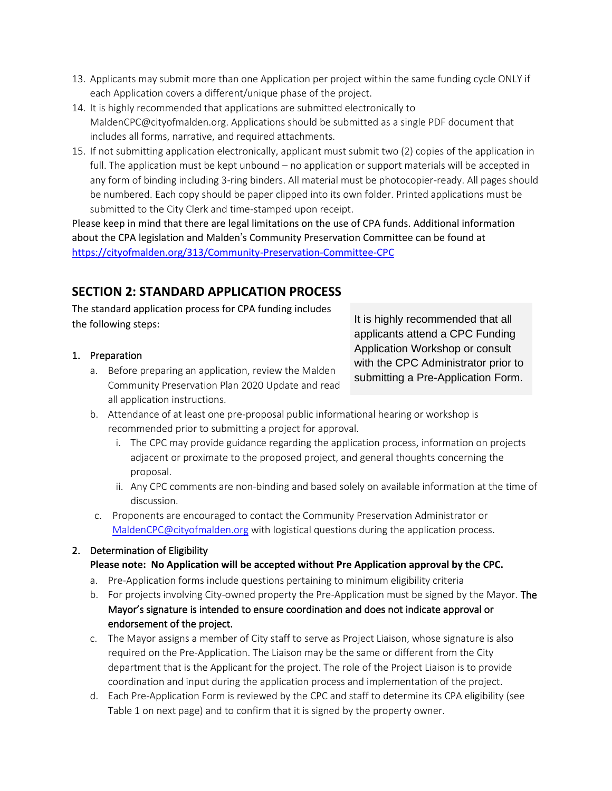- 13. Applicants may submit more than one Application per project within the same funding cycle ONLY if each Application covers a different/unique phase of the project.
- 14. It is highly recommended that applications are submitted electronically to MaldenCPC@cityofmalden.org. Applications should be submitted as a single PDF document that includes all forms, narrative, and required attachments.
- 15. If not submitting application electronically, applicant must submit two (2) copies of the application in full. The application must be kept unbound – no application or support materials will be accepted in any form of binding including 3-ring binders. All material must be photocopier-ready. All pages should be numbered. Each copy should be paper clipped into its own folder. Printed applications must be submitted to the City Clerk and time-stamped upon receipt.

Please keep in mind that there are legal limitations on the use of CPA funds. Additional information about the CPA legislation and Malden's Community Preservation Committee can be found at <https://cityofmalden.org/313/Community-Preservation-Committee-CPC>

# **SECTION 2: STANDARD APPLICATION PROCESS**

The standard application process for CPA funding includes the following steps:

### 1. Preparation

a. Before preparing an application, review the Malden Community Preservation Plan 2020 Update and read all application instructions.

It is highly recommended that all applicants attend a CPC Funding Application Workshop or consult with the CPC Administrator prior to submitting a Pre-Application Form.

- b. Attendance of at least one pre-proposal public informational hearing or workshop is recommended prior to submitting a project for approval.
	- i. The CPC may provide guidance regarding the application process, information on projects adjacent or proximate to the proposed project, and general thoughts concerning the proposal.
	- ii. Any CPC comments are non-binding and based solely on available information at the time of discussion.
- c. Proponents are encouraged to contact the Community Preservation Administrator or [MaldenCPC@cityofmalden.org](mailto:MaldenCPC@cityofmalden.org) with logistical questions during the application process.

# 2. Determination of Eligibility

# **Please note: No Application will be accepted without Pre Application approval by the CPC.**

- a. Pre-Application forms include questions pertaining to minimum eligibility criteria
- b. For projects involving City-owned property the Pre-Application must be signed by the Mayor. The Mayor's signature is intended to ensure coordination and does not indicate approval or endorsement of the project.
- c. The Mayor assigns a member of City staff to serve as Project Liaison, whose signature is also required on the Pre-Application. The Liaison may be the same or different from the City department that is the Applicant for the project. The role of the Project Liaison is to provide coordination and input during the application process and implementation of the project.
- d. Each Pre-Application Form is reviewed by the CPC and staff to determine its CPA eligibility (see Table 1 on next page) and to confirm that it is signed by the property owner.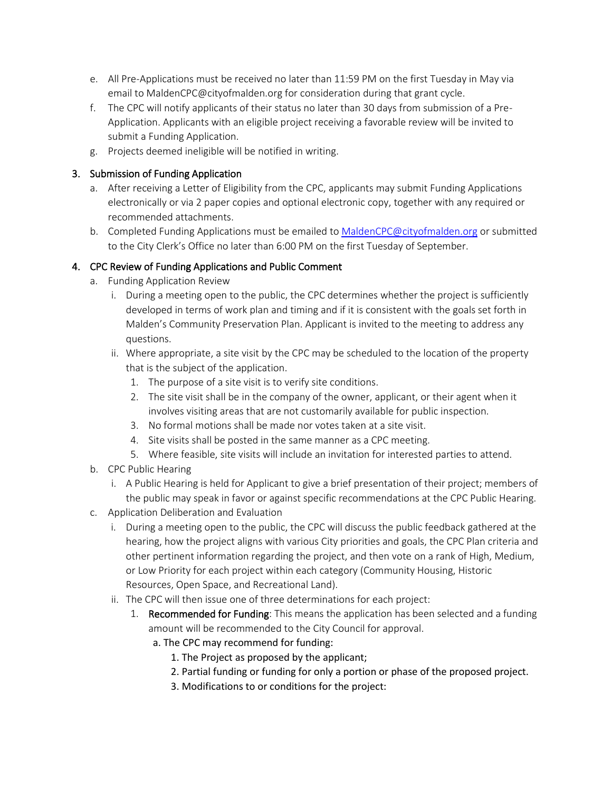- e. All Pre-Applications must be received no later than 11:59 PM on the first Tuesday in May via email to MaldenCPC@cityofmalden.org for consideration during that grant cycle.
- f. The CPC will notify applicants of their status no later than 30 days from submission of a Pre-Application. Applicants with an eligible project receiving a favorable review will be invited to submit a Funding Application.
- g. Projects deemed ineligible will be notified in writing.

### 3. Submission of Funding Application

- a. After receiving a Letter of Eligibility from the CPC, applicants may submit Funding Applications electronically or via 2 paper copies and optional electronic copy, together with any required or recommended attachments.
- b. Completed Funding Applications must be emailed to [MaldenCPC@cityofmalden.org](mailto:MaldenCPC@cityofmalden.org) or submitted to the City Clerk's Office no later than 6:00 PM on the first Tuesday of September.

### 4. CPC Review of Funding Applications and Public Comment

- a. Funding Application Review
	- i. During a meeting open to the public, the CPC determines whether the project is sufficiently developed in terms of work plan and timing and if it is consistent with the goals set forth in Malden's Community Preservation Plan. Applicant is invited to the meeting to address any questions.
	- ii. Where appropriate, a site visit by the CPC may be scheduled to the location of the property that is the subject of the application.
		- 1. The purpose of a site visit is to verify site conditions.
		- 2. The site visit shall be in the company of the owner, applicant, or their agent when it involves visiting areas that are not customarily available for public inspection.
		- 3. No formal motions shall be made nor votes taken at a site visit.
		- 4. Site visits shall be posted in the same manner as a CPC meeting.
		- 5. Where feasible, site visits will include an invitation for interested parties to attend.
- b. CPC Public Hearing
	- i. A Public Hearing is held for Applicant to give a brief presentation of their project; members of the public may speak in favor or against specific recommendations at the CPC Public Hearing.
- c. Application Deliberation and Evaluation
	- i. During a meeting open to the public, the CPC will discuss the public feedback gathered at the hearing, how the project aligns with various City priorities and goals, the CPC Plan criteria and other pertinent information regarding the project, and then vote on a rank of High, Medium, or Low Priority for each project within each category (Community Housing, Historic Resources, Open Space, and Recreational Land).
	- ii. The CPC will then issue one of three determinations for each project:
		- 1. Recommended for Funding: This means the application has been selected and a funding amount will be recommended to the City Council for approval.
			- a. The CPC may recommend for funding:
				- 1. The Project as proposed by the applicant;
				- 2. Partial funding or funding for only a portion or phase of the proposed project.
				- 3. Modifications to or conditions for the project: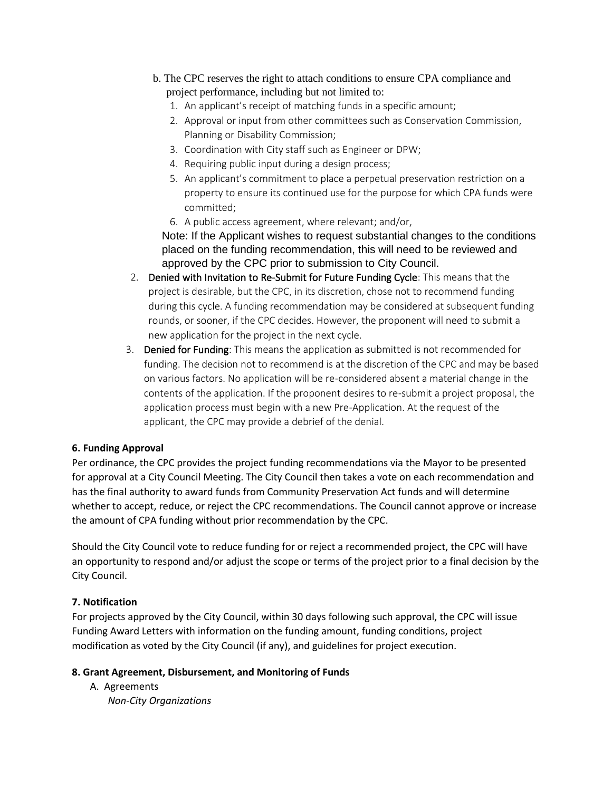- b. The CPC reserves the right to attach conditions to ensure CPA compliance and project performance, including but not limited to:
	- 1. An applicant's receipt of matching funds in a specific amount;
	- 2. Approval or input from other committees such as Conservation Commission, Planning or Disability Commission;
	- 3. Coordination with City staff such as Engineer or DPW;
	- 4. Requiring public input during a design process;
	- 5. An applicant's commitment to place a perpetual preservation restriction on a property to ensure its continued use for the purpose for which CPA funds were committed;
	- 6. A public access agreement, where relevant; and/or,

Note: If the Applicant wishes to request substantial changes to the conditions placed on the funding recommendation, this will need to be reviewed and approved by the CPC prior to submission to City Council.

- 2. Denied with Invitation to Re-Submit for Future Funding Cycle: This means that the project is desirable, but the CPC, in its discretion, chose not to recommend funding during this cycle. A funding recommendation may be considered at subsequent funding rounds, or sooner, if the CPC decides. However, the proponent will need to submit a new application for the project in the next cycle.
- 3. Denied for Funding: This means the application as submitted is not recommended for funding. The decision not to recommend is at the discretion of the CPC and may be based on various factors. No application will be re-considered absent a material change in the contents of the application. If the proponent desires to re-submit a project proposal, the application process must begin with a new Pre-Application. At the request of the applicant, the CPC may provide a debrief of the denial.

#### **6. Funding Approval**

Per ordinance, the CPC provides the project funding recommendations via the Mayor to be presented for approval at a City Council Meeting. The City Council then takes a vote on each recommendation and has the final authority to award funds from Community Preservation Act funds and will determine whether to accept, reduce, or reject the CPC recommendations. The Council cannot approve or increase the amount of CPA funding without prior recommendation by the CPC.

Should the City Council vote to reduce funding for or reject a recommended project, the CPC will have an opportunity to respond and/or adjust the scope or terms of the project prior to a final decision by the City Council.

# **7. Notification**

For projects approved by the City Council, within 30 days following such approval, the CPC will issue Funding Award Letters with information on the funding amount, funding conditions, project modification as voted by the City Council (if any), and guidelines for project execution.

#### **8. Grant Agreement, Disbursement, and Monitoring of Funds**

A. Agreements *Non-City Organizations*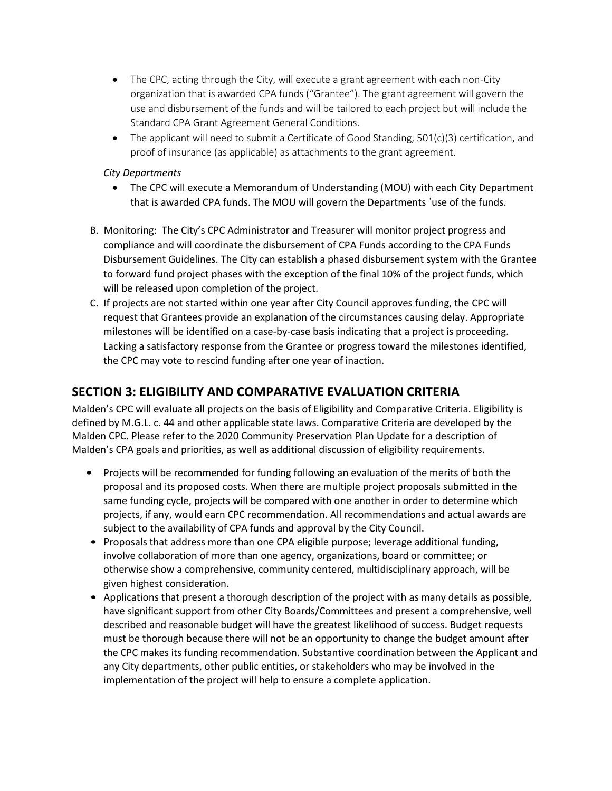- The CPC, acting through the City, will execute a grant agreement with each non-City organization that is awarded CPA funds ("Grantee"). The grant agreement will govern the use and disbursement of the funds and will be tailored to each project but will include the Standard CPA Grant Agreement General Conditions.
- The applicant will need to submit a Certificate of Good Standing,  $501(c)(3)$  certification, and proof of insurance (as applicable) as attachments to the grant agreement.

#### *City Departments*

- The CPC will execute a Memorandum of Understanding (MOU) with each City Department that is awarded CPA funds. The MOU will govern the Departments 'use of the funds.
- B. Monitoring: The City's CPC Administrator and Treasurer will monitor project progress and compliance and will coordinate the disbursement of CPA Funds according to the CPA Funds Disbursement Guidelines. The City can establish a phased disbursement system with the Grantee to forward fund project phases with the exception of the final 10% of the project funds, which will be released upon completion of the project.
- C. If projects are not started within one year after City Council approves funding, the CPC will request that Grantees provide an explanation of the circumstances causing delay. Appropriate milestones will be identified on a case-by-case basis indicating that a project is proceeding. Lacking a satisfactory response from the Grantee or progress toward the milestones identified, the CPC may vote to rescind funding after one year of inaction.

# **SECTION 3: ELIGIBILITY AND COMPARATIVE EVALUATION CRITERIA**

Malden's CPC will evaluate all projects on the basis of Eligibility and Comparative Criteria. Eligibility is defined by M.G.L. c. 44 and other applicable state laws. Comparative Criteria are developed by the Malden CPC. Please refer to the 2020 Community Preservation Plan Update for a description of Malden's CPA goals and priorities, as well as additional discussion of eligibility requirements.

- Projects will be recommended for funding following an evaluation of the merits of both the proposal and its proposed costs. When there are multiple project proposals submitted in the same funding cycle, projects will be compared with one another in order to determine which projects, if any, would earn CPC recommendation. All recommendations and actual awards are subject to the availability of CPA funds and approval by the City Council.
- Proposals that address more than one CPA eligible purpose; leverage additional funding, involve collaboration of more than one agency, organizations, board or committee; or otherwise show a comprehensive, community centered, multidisciplinary approach, will be given highest consideration.
- Applications that present a thorough description of the project with as many details as possible, have significant support from other City Boards/Committees and present a comprehensive, well described and reasonable budget will have the greatest likelihood of success. Budget requests must be thorough because there will not be an opportunity to change the budget amount after the CPC makes its funding recommendation. Substantive coordination between the Applicant and any City departments, other public entities, or stakeholders who may be involved in the implementation of the project will help to ensure a complete application.